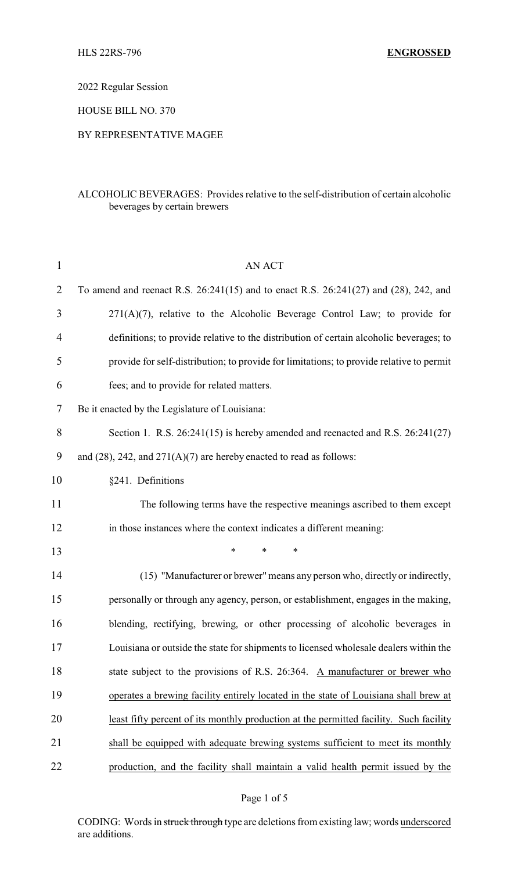2022 Regular Session

HOUSE BILL NO. 370

## BY REPRESENTATIVE MAGEE

# ALCOHOLIC BEVERAGES: Provides relative to the self-distribution of certain alcoholic beverages by certain brewers

| $\mathbf{1}$   | <b>AN ACT</b>                                                                            |  |  |
|----------------|------------------------------------------------------------------------------------------|--|--|
| $\overline{2}$ | To amend and reenact R.S. 26:241(15) and to enact R.S. 26:241(27) and (28), 242, and     |  |  |
| 3              | $271(A)(7)$ , relative to the Alcoholic Beverage Control Law; to provide for             |  |  |
| $\overline{4}$ | definitions; to provide relative to the distribution of certain alcoholic beverages; to  |  |  |
| 5              | provide for self-distribution; to provide for limitations; to provide relative to permit |  |  |
| 6              | fees; and to provide for related matters.                                                |  |  |
| 7              | Be it enacted by the Legislature of Louisiana:                                           |  |  |
| 8              | Section 1. R.S. $26:241(15)$ is hereby amended and reenacted and R.S. $26:241(27)$       |  |  |
| 9              | and $(28)$ , 242, and $271(A)(7)$ are hereby enacted to read as follows:                 |  |  |
| 10             | §241. Definitions                                                                        |  |  |
| 11             | The following terms have the respective meanings ascribed to them except                 |  |  |
| 12             | in those instances where the context indicates a different meaning:                      |  |  |
| 13             | *<br>*<br>∗                                                                              |  |  |
| 14             | (15) "Manufacturer or brewer" means any person who, directly or indirectly,              |  |  |
| 15             | personally or through any agency, person, or establishment, engages in the making,       |  |  |
| 16             | blending, rectifying, brewing, or other processing of alcoholic beverages in             |  |  |
| 17             | Louisiana or outside the state for shipments to licensed wholesale dealers within the    |  |  |
| 18             | state subject to the provisions of R.S. 26:364. A manufacturer or brewer who             |  |  |
| 19             | operates a brewing facility entirely located in the state of Louisiana shall brew at     |  |  |
| 20             | least fifty percent of its monthly production at the permitted facility. Such facility   |  |  |
| 21             | shall be equipped with adequate brewing systems sufficient to meet its monthly           |  |  |
| 22             | production, and the facility shall maintain a valid health permit issued by the          |  |  |

CODING: Words in struck through type are deletions from existing law; words underscored are additions.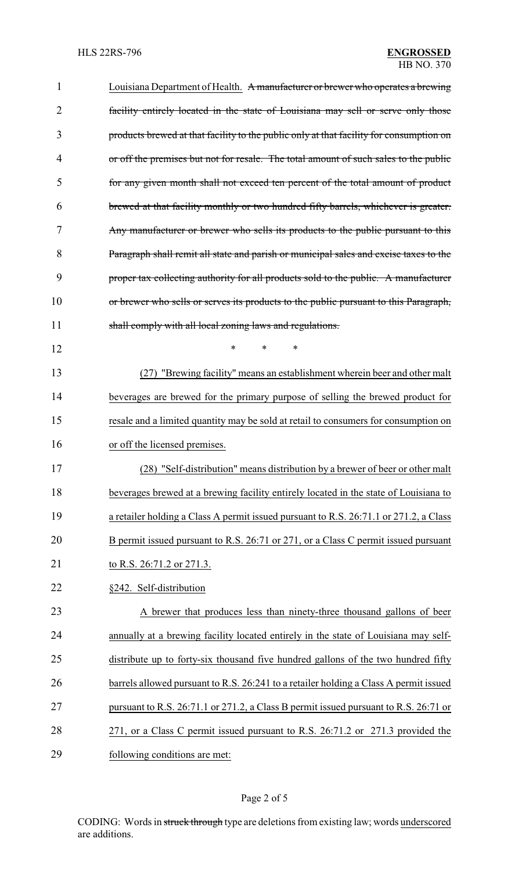| 1  | Louisiana Department of Health. A manufacturer or brewer who operates a brewing         |
|----|-----------------------------------------------------------------------------------------|
| 2  | facility entirely located in the state of Louisiana may sell or serve only those        |
| 3  | products brewed at that facility to the public only at that facility for consumption on |
| 4  | or off the premises but not for resale. The total amount of such sales to the public    |
| 5  | for any given month shall not exceed ten percent of the total amount of product         |
| 6  | brewed at that facility monthly or two hundred fifty barrels, whichever is greater.     |
| 7  | Any manufacturer or brewer who sells its products to the public pursuant to this        |
| 8  | Paragraph shall remit all state and parish or municipal sales and excise taxes to the   |
| 9  | proper tax collecting authority for all products sold to the public. A manufacturer     |
| 10 | or brewer who sells or serves its products to the public pursuant to this Paragraph,    |
| 11 | shall comply with all local zoning laws and regulations.                                |
| 12 | $\ast$<br>*<br>*                                                                        |
| 13 | (27) "Brewing facility" means an establishment wherein beer and other malt              |
| 14 | beverages are brewed for the primary purpose of selling the brewed product for          |
| 15 | resale and a limited quantity may be sold at retail to consumers for consumption on     |
| 16 | or off the licensed premises.                                                           |
| 17 | "Self-distribution" means distribution by a brewer of beer or other malt<br>(28)        |
| 18 | beverages brewed at a brewing facility entirely located in the state of Louisiana to    |
| 19 | a retailer holding a Class A permit issued pursuant to R.S. 26:71.1 or 271.2, a Class   |
| 20 | B permit issued pursuant to R.S. 26:71 or 271, or a Class C permit issued pursuant      |
| 21 | to R.S. 26:71.2 or 271.3.                                                               |
| 22 | §242. Self-distribution                                                                 |
| 23 | A brewer that produces less than ninety-three thousand gallons of beer                  |
| 24 | annually at a brewing facility located entirely in the state of Louisiana may self-     |
| 25 | distribute up to forty-six thousand five hundred gallons of the two hundred fifty       |
| 26 | barrels allowed pursuant to R.S. 26:241 to a retailer holding a Class A permit issued   |
| 27 | pursuant to R.S. 26:71.1 or 271.2, a Class B permit issued pursuant to R.S. 26:71 or    |
| 28 | 271, or a Class C permit issued pursuant to R.S. 26:71.2 or 271.3 provided the          |
| 29 | following conditions are met:                                                           |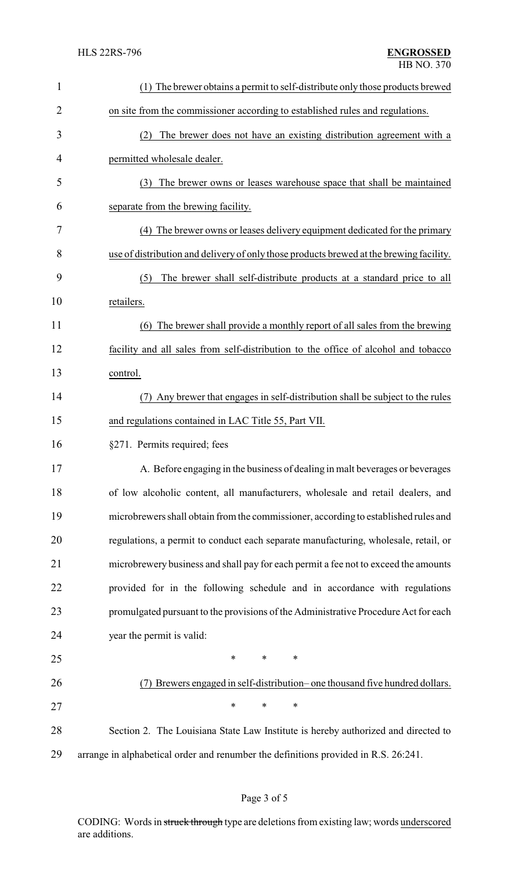| $\mathbf{1}$   | (1) The brewer obtains a permit to self-distribute only those products brewed           |
|----------------|-----------------------------------------------------------------------------------------|
| $\overline{2}$ | on site from the commissioner according to established rules and regulations.           |
| 3              | (2) The brewer does not have an existing distribution agreement with a                  |
| 4              | permitted wholesale dealer.                                                             |
| 5              | (3) The brewer owns or leases warehouse space that shall be maintained                  |
| 6              | separate from the brewing facility.                                                     |
| 7              | (4) The brewer owns or leases delivery equipment dedicated for the primary              |
| 8              | use of distribution and delivery of only those products brewed at the brewing facility. |
| 9              | The brewer shall self-distribute products at a standard price to all<br>(5)             |
| 10             | retailers.                                                                              |
| 11             | (6) The brewer shall provide a monthly report of all sales from the brewing             |
| 12             | facility and all sales from self-distribution to the office of alcohol and tobacco      |
| 13             | control.                                                                                |
| 14             | Any brewer that engages in self-distribution shall be subject to the rules              |
| 15             | and regulations contained in LAC Title 55, Part VII.                                    |
| 16             | §271. Permits required; fees                                                            |
| 17             | A. Before engaging in the business of dealing in malt beverages or beverages            |
| 18             | of low alcoholic content, all manufacturers, wholesale and retail dealers, and          |
| 19             | microbrewers shall obtain from the commissioner, according to established rules and     |
| 20             | regulations, a permit to conduct each separate manufacturing, wholesale, retail, or     |
| 21             | microbrewery business and shall pay for each permit a fee not to exceed the amounts     |
| 22             | provided for in the following schedule and in accordance with regulations               |
| 23             | promulgated pursuant to the provisions of the Administrative Procedure Act for each     |
| 24             | year the permit is valid:                                                               |
| 25             | $\ast$<br>$\ast$<br>$\ast$                                                              |
| 26             | (7) Brewers engaged in self-distribution– one thousand five hundred dollars.            |
| 27             | $\ast$<br>$\ast$<br>$\ast$                                                              |
| 28             | Section 2. The Louisiana State Law Institute is hereby authorized and directed to       |
| 29             | arrange in alphabetical order and renumber the definitions provided in R.S. 26:241.     |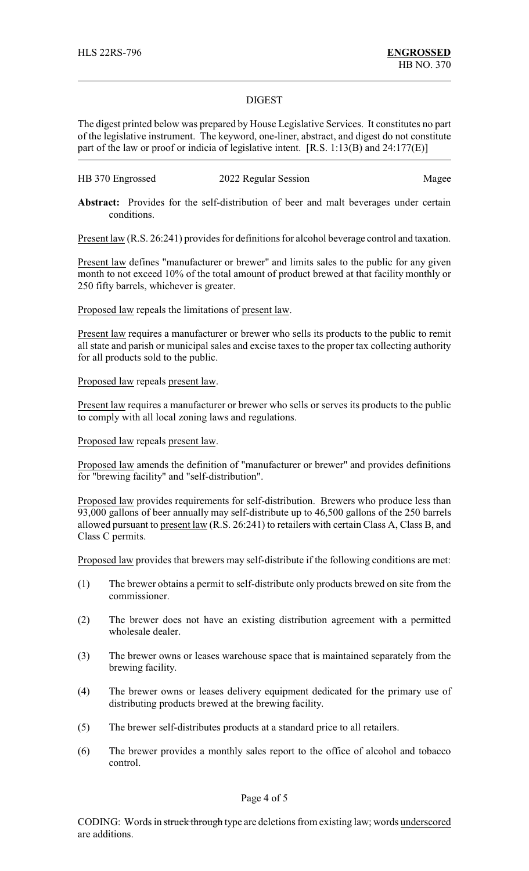## DIGEST

The digest printed below was prepared by House Legislative Services. It constitutes no part of the legislative instrument. The keyword, one-liner, abstract, and digest do not constitute part of the law or proof or indicia of legislative intent. [R.S. 1:13(B) and 24:177(E)]

| HB 370 Engrossed | 2022 Regular Session | Magee |
|------------------|----------------------|-------|
|------------------|----------------------|-------|

Abstract: Provides for the self-distribution of beer and malt beverages under certain conditions.

Present law (R.S. 26:241) provides for definitions for alcohol beverage control and taxation.

Present law defines "manufacturer or brewer" and limits sales to the public for any given month to not exceed 10% of the total amount of product brewed at that facility monthly or 250 fifty barrels, whichever is greater.

Proposed law repeals the limitations of present law.

Present law requires a manufacturer or brewer who sells its products to the public to remit all state and parish or municipal sales and excise taxes to the proper tax collecting authority for all products sold to the public.

Proposed law repeals present law.

Present law requires a manufacturer or brewer who sells or serves its products to the public to comply with all local zoning laws and regulations.

### Proposed law repeals present law.

Proposed law amends the definition of "manufacturer or brewer" and provides definitions for "brewing facility" and "self-distribution".

Proposed law provides requirements for self-distribution. Brewers who produce less than 93,000 gallons of beer annually may self-distribute up to 46,500 gallons of the 250 barrels allowed pursuant to present law (R.S. 26:241) to retailers with certain Class A, Class B, and Class C permits.

Proposed law provides that brewers may self-distribute if the following conditions are met:

- (1) The brewer obtains a permit to self-distribute only products brewed on site from the commissioner.
- (2) The brewer does not have an existing distribution agreement with a permitted wholesale dealer.
- (3) The brewer owns or leases warehouse space that is maintained separately from the brewing facility.
- (4) The brewer owns or leases delivery equipment dedicated for the primary use of distributing products brewed at the brewing facility.
- (5) The brewer self-distributes products at a standard price to all retailers.
- (6) The brewer provides a monthly sales report to the office of alcohol and tobacco control.